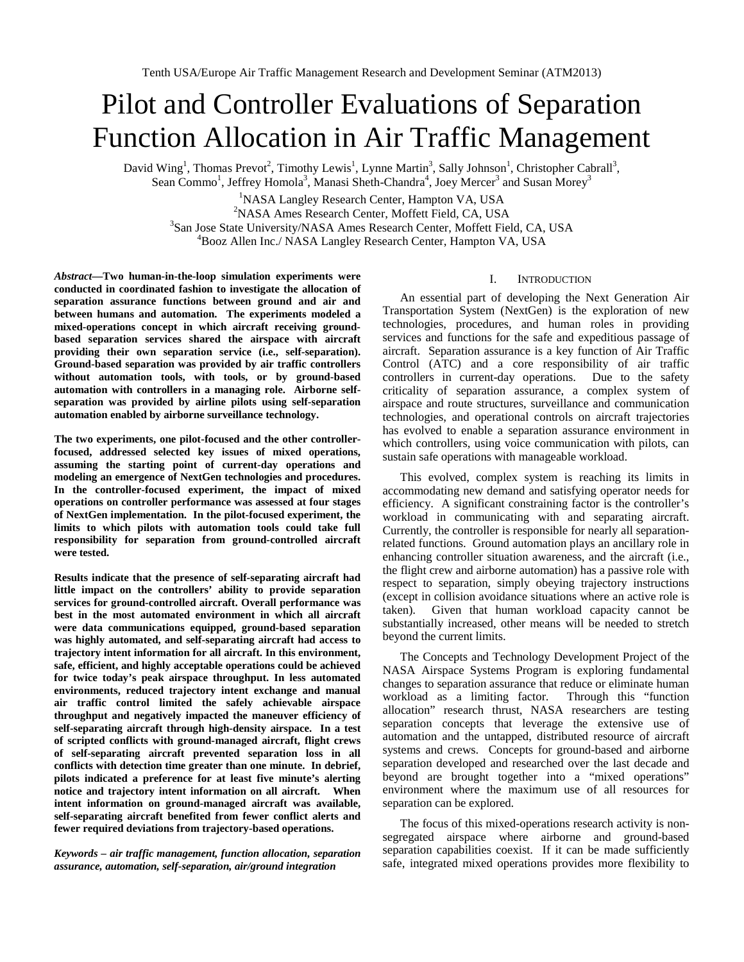# Pilot and Controller Evaluations of Separation Function Allocation in Air Traffic Management

David Wing<sup>1</sup>, Thomas Prevot<sup>2</sup>, Timothy Lewis<sup>1</sup>, Lynne Martin<sup>3</sup>, Sally Johnson<sup>1</sup>, Christopher Cabrall<sup>3</sup>, Sean Commo<sup>1</sup>, Jeffrey Homola<sup>3</sup>, Manasi Sheth-Chandra<sup>4</sup>, Joey Mercer<sup>3</sup> and Susan Morey<sup>3</sup>

<sup>1</sup>NASA Langley Research Center, Hampton VA, USA<sup>2</sup>NASA Amas Basearch Center, Moffott Field, CA, US <sup>2</sup>NASA Ames Research Center, Moffett Field, CA, USA <sup>3</sup>San Jose State University/NASA Ames Research Center, Moffett Field, CA, USA <sup>4</sup>Booz Allen Inc./ NASA Langley Research Center, Hampton VA, USA

*Abstract***—Two human-in-the-loop simulation experiments were conducted in coordinated fashion to investigate the allocation of separation assurance functions between ground and air and between humans and automation. The experiments modeled a mixed-operations concept in which aircraft receiving groundbased separation services shared the airspace with aircraft providing their own separation service (i.e., self-separation). Ground-based separation was provided by air traffic controllers without automation tools, with tools, or by ground-based automation with controllers in a managing role. Airborne selfseparation was provided by airline pilots using self-separation automation enabled by airborne surveillance technology.**

**The two experiments, one pilot-focused and the other controllerfocused, addressed selected key issues of mixed operations, assuming the starting point of current-day operations and modeling an emergence of NextGen technologies and procedures. In the controller-focused experiment, the impact of mixed operations on controller performance was assessed at four stages of NextGen implementation. In the pilot-focused experiment, the limits to which pilots with automation tools could take full responsibility for separation from ground-controlled aircraft were tested.** 

**Results indicate that the presence of self-separating aircraft had little impact on the controllers' ability to provide separation services for ground-controlled aircraft. Overall performance was best in the most automated environment in which all aircraft were data communications equipped, ground-based separation was highly automated, and self-separating aircraft had access to trajectory intent information for all aircraft. In this environment, safe, efficient, and highly acceptable operations could be achieved for twice today's peak airspace throughput. In less automated environments, reduced trajectory intent exchange and manual air traffic control limited the safely achievable airspace throughput and negatively impacted the maneuver efficiency of self-separating aircraft through high-density airspace. In a test of scripted conflicts with ground-managed aircraft, flight crews of self-separating aircraft prevented separation loss in all conflicts with detection time greater than one minute. In debrief, pilots indicated a preference for at least five minute's alerting notice and trajectory intent information on all aircraft. When intent information on ground-managed aircraft was available, self-separating aircraft benefited from fewer conflict alerts and fewer required deviations from trajectory-based operations.** 

*Keywords – air traffic management, function allocation, separation assurance, automation, self-separation, air/ground integration*

## I. INTRODUCTION

An essential part of developing the Next Generation Air Transportation System (NextGen) is the exploration of new technologies, procedures, and human roles in providing services and functions for the safe and expeditious passage of aircraft. Separation assurance is a key function of Air Traffic Control (ATC) and a core responsibility of air traffic controllers in current-day operations. Due to the safety criticality of separation assurance, a complex system of airspace and route structures, surveillance and communication technologies, and operational controls on aircraft trajectories has evolved to enable a separation assurance environment in which controllers, using voice communication with pilots, can sustain safe operations with manageable workload.

This evolved, complex system is reaching its limits in accommodating new demand and satisfying operator needs for efficiency. A significant constraining factor is the controller's workload in communicating with and separating aircraft. Currently, the controller is responsible for nearly all separationrelated functions. Ground automation plays an ancillary role in enhancing controller situation awareness, and the aircraft (i.e., the flight crew and airborne automation) has a passive role with respect to separation, simply obeying trajectory instructions (except in collision avoidance situations where an active role is taken). Given that human workload capacity cannot be substantially increased, other means will be needed to stretch beyond the current limits.

The Concepts and Technology Development Project of the NASA Airspace Systems Program is exploring fundamental changes to separation assurance that reduce or eliminate human workload as a limiting factor. Through this "function allocation" research thrust, NASA researchers are testing separation concepts that leverage the extensive use of automation and the untapped, distributed resource of aircraft systems and crews. Concepts for ground-based and airborne separation developed and researched over the last decade and beyond are brought together into a "mixed operations" environment where the maximum use of all resources for separation can be explored.

The focus of this mixed-operations research activity is nonsegregated airspace where airborne and ground-based separation capabilities coexist. If it can be made sufficiently safe, integrated mixed operations provides more flexibility to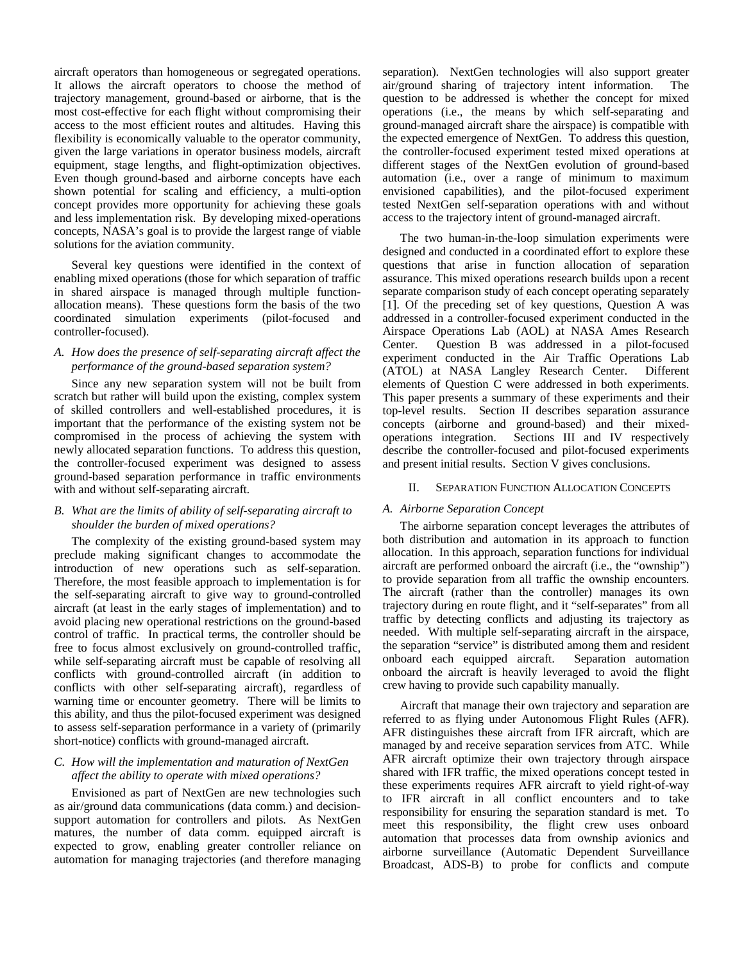aircraft operators than homogeneous or segregated operations. It allows the aircraft operators to choose the method of trajectory management, ground-based or airborne, that is the most cost-effective for each flight without compromising their access to the most efficient routes and altitudes. Having this flexibility is economically valuable to the operator community, given the large variations in operator business models, aircraft equipment, stage lengths, and flight-optimization objectives. Even though ground-based and airborne concepts have each shown potential for scaling and efficiency, a multi-option concept provides more opportunity for achieving these goals and less implementation risk. By developing mixed-operations concepts, NASA's goal is to provide the largest range of viable solutions for the aviation community.

Several key questions were identified in the context of enabling mixed operations (those for which separation of traffic in shared airspace is managed through multiple functionallocation means). These questions form the basis of the two coordinated simulation experiments (pilot-focused and controller-focused).

## *A. How does the presence of self-separating aircraft affect the performance of the ground-based separation system?*

Since any new separation system will not be built from scratch but rather will build upon the existing, complex system of skilled controllers and well-established procedures, it is important that the performance of the existing system not be compromised in the process of achieving the system with newly allocated separation functions. To address this question, the controller-focused experiment was designed to assess ground-based separation performance in traffic environments with and without self-separating aircraft.

## *B. What are the limits of ability of self-separating aircraft to shoulder the burden of mixed operations?*

The complexity of the existing ground-based system may preclude making significant changes to accommodate the introduction of new operations such as self-separation. Therefore, the most feasible approach to implementation is for the self-separating aircraft to give way to ground-controlled aircraft (at least in the early stages of implementation) and to avoid placing new operational restrictions on the ground-based control of traffic. In practical terms, the controller should be free to focus almost exclusively on ground-controlled traffic, while self-separating aircraft must be capable of resolving all conflicts with ground-controlled aircraft (in addition to conflicts with other self-separating aircraft), regardless of warning time or encounter geometry. There will be limits to this ability, and thus the pilot-focused experiment was designed to assess self-separation performance in a variety of (primarily short-notice) conflicts with ground-managed aircraft.

## *C. How will the implementation and maturation of NextGen affect the ability to operate with mixed operations?*

Envisioned as part of NextGen are new technologies such as air/ground data communications (data comm.) and decisionsupport automation for controllers and pilots. As NextGen matures, the number of data comm. equipped aircraft is expected to grow, enabling greater controller reliance on automation for managing trajectories (and therefore managing

separation). NextGen technologies will also support greater air/ground sharing of trajectory intent information. The question to be addressed is whether the concept for mixed operations (i.e., the means by which self-separating and ground-managed aircraft share the airspace) is compatible with the expected emergence of NextGen. To address this question, the controller-focused experiment tested mixed operations at different stages of the NextGen evolution of ground-based automation (i.e., over a range of minimum to maximum envisioned capabilities), and the pilot-focused experiment tested NextGen self-separation operations with and without access to the trajectory intent of ground-managed aircraft.

The two human-in-the-loop simulation experiments were designed and conducted in a coordinated effort to explore these questions that arise in function allocation of separation assurance. This mixed operations research builds upon a recent separate comparison study of each concept operating separately [1]. Of the preceding set of key questions, Question A was addressed in a controller-focused experiment conducted in the Airspace Operations Lab (AOL) at NASA Ames Research Center. Question B was addressed in a pilot-focused experiment conducted in the Air Traffic Operations Lab (ATOL) at NASA Langley Research Center. Different elements of Question C were addressed in both experiments. This paper presents a summary of these experiments and their top-level results. Section II describes separation assurance concepts (airborne and ground-based) and their mixedoperations integration. Sections III and IV respectively describe the controller-focused and pilot-focused experiments and present initial results. Section V gives conclusions.

## II. SEPARATION FUNCTION ALLOCATION CONCEPTS

#### *A. Airborne Separation Concept*

The airborne separation concept leverages the attributes of both distribution and automation in its approach to function allocation. In this approach, separation functions for individual aircraft are performed onboard the aircraft (i.e., the "ownship") to provide separation from all traffic the ownship encounters. The aircraft (rather than the controller) manages its own trajectory during en route flight, and it "self-separates" from all traffic by detecting conflicts and adjusting its trajectory as needed. With multiple self-separating aircraft in the airspace, the separation "service" is distributed among them and resident onboard each equipped aircraft. Separation automation onboard each equipped aircraft. onboard the aircraft is heavily leveraged to avoid the flight crew having to provide such capability manually.

Aircraft that manage their own trajectory and separation are referred to as flying under Autonomous Flight Rules (AFR). AFR distinguishes these aircraft from IFR aircraft, which are managed by and receive separation services from ATC. While AFR aircraft optimize their own trajectory through airspace shared with IFR traffic, the mixed operations concept tested in these experiments requires AFR aircraft to yield right-of-way to IFR aircraft in all conflict encounters and to take responsibility for ensuring the separation standard is met. To meet this responsibility, the flight crew uses onboard automation that processes data from ownship avionics and airborne surveillance (Automatic Dependent Surveillance Broadcast, ADS-B) to probe for conflicts and compute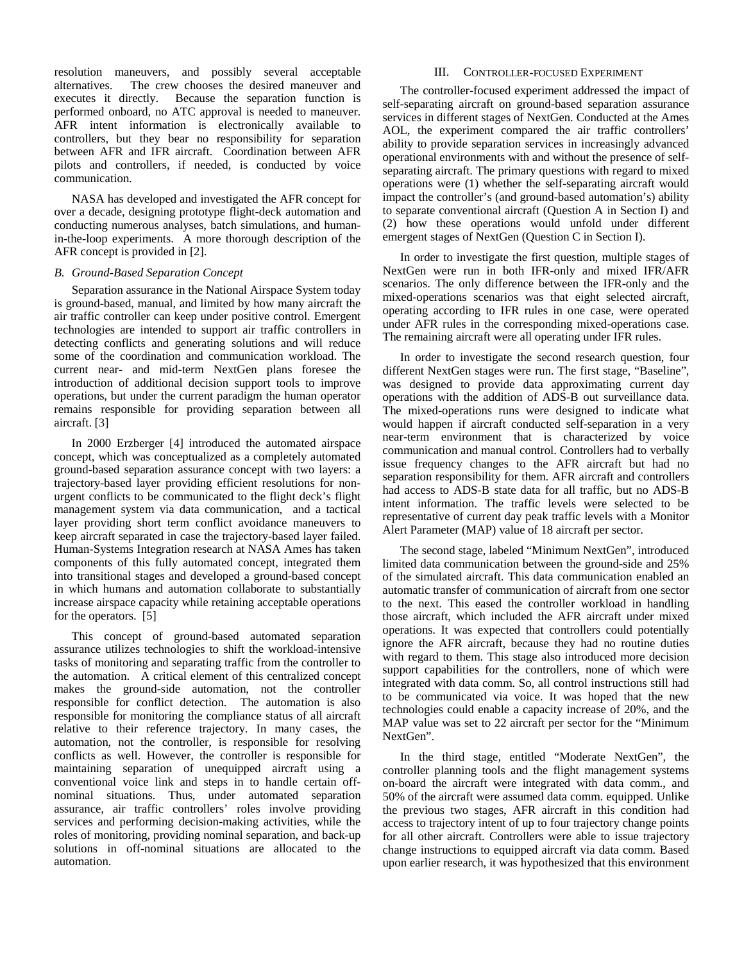resolution maneuvers, and possibly several acceptable alternatives. The crew chooses the desired maneuver and executes it directly. Because the separation function is performed onboard, no ATC approval is needed to maneuver. AFR intent information is electronically available to controllers, but they bear no responsibility for separation between AFR and IFR aircraft. Coordination between AFR pilots and controllers, if needed, is conducted by voice communication.

NASA has developed and investigated the AFR concept for over a decade, designing prototype flight-deck automation and conducting numerous analyses, batch simulations, and humanin-the-loop experiments. A more thorough description of the AFR concept is provided i[n \[2\].](#page-9-0)

## *B. Ground-Based Separation Concept*

Separation assurance in the National Airspace System today is ground-based, manual, and limited by how many aircraft the air traffic controller can keep under positive control. Emergent technologies are intended to support air traffic controllers in detecting conflicts and generating solutions and will reduce some of the coordination and communication workload. The current near- and mid-term NextGen plans foresee the introduction of additional decision support tools to improve operations, but under the current paradigm the human operator remains responsible for providing separation between all aircraft. [\[3\]](#page-9-1)

In 2000 Erzberger [\[4\]](#page-9-2) introduced the automated airspace concept, which was conceptualized as a completely automated ground-based separation assurance concept with two layers: a trajectory-based layer providing efficient resolutions for nonurgent conflicts to be communicated to the flight deck's flight management system via data communication, and a tactical layer providing short term conflict avoidance maneuvers to keep aircraft separated in case the trajectory-based layer failed. Human-Systems Integration research at NASA Ames has taken components of this fully automated concept, integrated them into transitional stages and developed a ground-based concept in which humans and automation collaborate to substantially increase airspace capacity while retaining acceptable operations for the operators. [\[5\]](#page-9-3)

This concept of ground-based automated separation assurance utilizes technologies to shift the workload-intensive tasks of monitoring and separating traffic from the controller to the automation. A critical element of this centralized concept makes the ground-side automation, not the controller responsible for conflict detection. The automation is also responsible for monitoring the compliance status of all aircraft relative to their reference trajectory. In many cases, the automation, not the controller, is responsible for resolving conflicts as well. However, the controller is responsible for maintaining separation of unequipped aircraft using a conventional voice link and steps in to handle certain offnominal situations. Thus, under automated separation assurance, air traffic controllers' roles involve providing services and performing decision-making activities, while the roles of monitoring, providing nominal separation, and back-up solutions in off-nominal situations are allocated to the automation.

#### III. CONTROLLER-FOCUSED EXPERIMENT

The controller-focused experiment addressed the impact of self-separating aircraft on ground-based separation assurance services in different stages of NextGen. Conducted at the Ames AOL, the experiment compared the air traffic controllers' ability to provide separation services in increasingly advanced operational environments with and without the presence of selfseparating aircraft. The primary questions with regard to mixed operations were (1) whether the self-separating aircraft would impact the controller's (and ground-based automation's) ability to separate conventional aircraft (Question A in Section I) and (2) how these operations would unfold under different emergent stages of NextGen (Question C in Section I).

In order to investigate the first question, multiple stages of NextGen were run in both IFR-only and mixed IFR/AFR scenarios. The only difference between the IFR-only and the mixed-operations scenarios was that eight selected aircraft, operating according to IFR rules in one case, were operated under AFR rules in the corresponding mixed-operations case. The remaining aircraft were all operating under IFR rules.

In order to investigate the second research question, four different NextGen stages were run. The first stage, "Baseline", was designed to provide data approximating current day operations with the addition of ADS-B out surveillance data. The mixed-operations runs were designed to indicate what would happen if aircraft conducted self-separation in a very near-term environment that is characterized by voice communication and manual control. Controllers had to verbally issue frequency changes to the AFR aircraft but had no separation responsibility for them. AFR aircraft and controllers had access to ADS-B state data for all traffic, but no ADS-B intent information. The traffic levels were selected to be representative of current day peak traffic levels with a Monitor Alert Parameter (MAP) value of 18 aircraft per sector.

The second stage, labeled "Minimum NextGen", introduced limited data communication between the ground-side and 25% of the simulated aircraft. This data communication enabled an automatic transfer of communication of aircraft from one sector to the next. This eased the controller workload in handling those aircraft, which included the AFR aircraft under mixed operations. It was expected that controllers could potentially ignore the AFR aircraft, because they had no routine duties with regard to them. This stage also introduced more decision support capabilities for the controllers, none of which were integrated with data comm. So, all control instructions still had to be communicated via voice. It was hoped that the new technologies could enable a capacity increase of 20%, and the MAP value was set to 22 aircraft per sector for the "Minimum NextGen".

In the third stage, entitled "Moderate NextGen", the controller planning tools and the flight management systems on-board the aircraft were integrated with data comm., and 50% of the aircraft were assumed data comm. equipped. Unlike the previous two stages, AFR aircraft in this condition had access to trajectory intent of up to four trajectory change points for all other aircraft. Controllers were able to issue trajectory change instructions to equipped aircraft via data comm. Based upon earlier research, it was hypothesized that this environment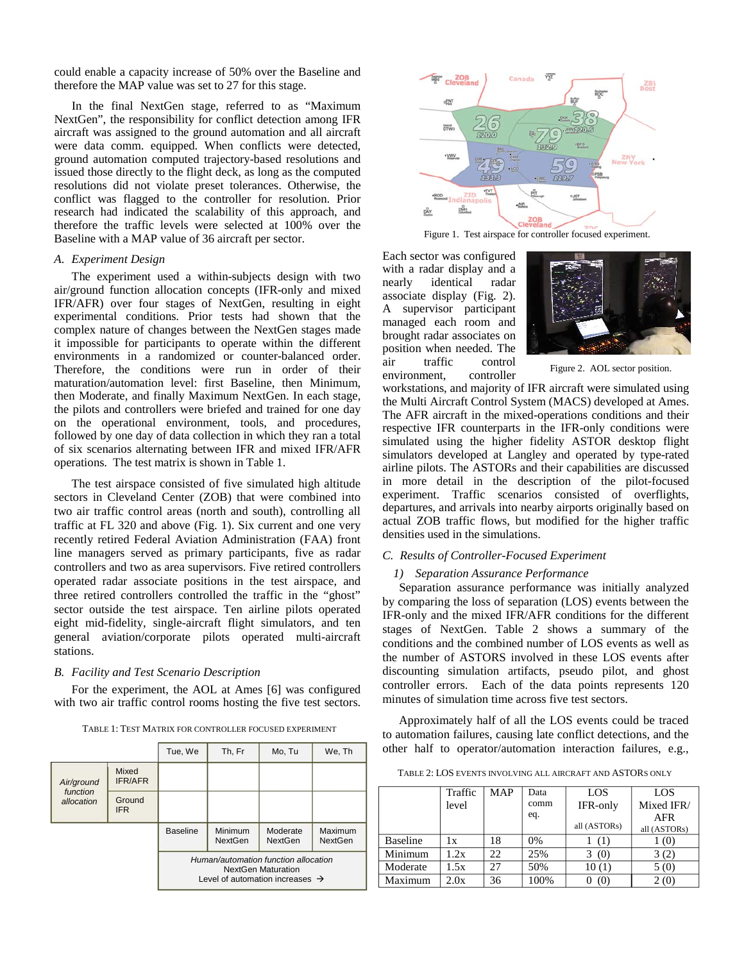could enable a capacity increase of 50% over the Baseline and therefore the MAP value was set to 27 for this stage.

In the final NextGen stage, referred to as "Maximum NextGen", the responsibility for conflict detection among IFR aircraft was assigned to the ground automation and all aircraft were data comm. equipped. When conflicts were detected, ground automation computed trajectory-based resolutions and issued those directly to the flight deck, as long as the computed resolutions did not violate preset tolerances. Otherwise, the conflict was flagged to the controller for resolution. Prior research had indicated the scalability of this approach, and therefore the traffic levels were selected at 100% over the Baseline with a MAP value of 36 aircraft per sector.

## *A. Experiment Design*

The experiment used a within-subjects design with two air/ground function allocation concepts (IFR-only and mixed IFR/AFR) over four stages of NextGen, resulting in eight experimental conditions. Prior tests had shown that the complex nature of changes between the NextGen stages made it impossible for participants to operate within the different environments in a randomized or counter-balanced order. Therefore, the conditions were run in order of their maturation/automation level: first Baseline, then Minimum, then Moderate, and finally Maximum NextGen. In each stage, the pilots and controllers were briefed and trained for one day on the operational environment, tools, and procedures, followed by one day of data collection in which they ran a total of six scenarios alternating between IFR and mixed IFR/AFR operations. The test matrix is shown in Table 1.

The test airspace consisted of five simulated high altitude sectors in Cleveland Center (ZOB) that were combined into two air traffic control areas (north and south), controlling all traffic at FL 320 and above (Fig. 1). Six current and one very recently retired Federal Aviation Administration (FAA) front line managers served as primary participants, five as radar controllers and two as area supervisors. Five retired controllers operated radar associate positions in the test airspace, and three retired controllers controlled the traffic in the "ghost" sector outside the test airspace. Ten airline pilots operated eight mid-fidelity, single-aircraft flight simulators, and ten general aviation/corporate pilots operated multi-aircraft stations.

#### *B. Facility and Test Scenario Description*

For the experiment, the AOL at Ames [\[6\]](#page-9-4) was configured with two air traffic control rooms hosting the five test sectors.

TABLE 1: TEST MATRIX FOR CONTROLLER FOCUSED EXPERIMENT

|                                      |                         | Tue, We                                                                                                          | Th, Fr                    | Mo, Tu                     | We, Th             |
|--------------------------------------|-------------------------|------------------------------------------------------------------------------------------------------------------|---------------------------|----------------------------|--------------------|
| Air/ground<br>function<br>allocation | Mixed<br><b>IFR/AFR</b> |                                                                                                                  |                           |                            |                    |
|                                      | Ground<br><b>IFR</b>    |                                                                                                                  |                           |                            |                    |
|                                      |                         | <b>Baseline</b>                                                                                                  | Minimum<br><b>NextGen</b> | Moderate<br><b>NextGen</b> | Maximum<br>NextGen |
|                                      |                         | Human/automation function allocation<br><b>NextGen Maturation</b><br>Level of automation increases $\rightarrow$ |                           |                            |                    |



Figure 1. Test airspace for controller focused experiment.

Each sector was configured with a radar display and a nearly identical radar associate display (Fig. 2). A supervisor participant managed each room and brought radar associates on position when needed. The air traffic control environment, controller



Figure 2. AOL sector position.

workstations, and majority of IFR aircraft were simulated using the Multi Aircraft Control System (MACS) developed at Ames. The AFR aircraft in the mixed-operations conditions and their respective IFR counterparts in the IFR-only conditions were simulated using the higher fidelity ASTOR desktop flight simulators developed at Langley and operated by type-rated airline pilots. The ASTORs and their capabilities are discussed in more detail in the description of the pilot-focused experiment. Traffic scenarios consisted of overflights, departures, and arrivals into nearby airports originally based on actual ZOB traffic flows, but modified for the higher traffic densities used in the simulations.

## *C. Results of Controller-Focused Experiment*

#### *1) Separation Assurance Performance*

Separation assurance performance was initially analyzed by comparing the loss of separation (LOS) events between the IFR-only and the mixed IFR/AFR conditions for the different stages of NextGen. Table 2 shows a summary of the conditions and the combined number of LOS events as well as the number of ASTORS involved in these LOS events after discounting simulation artifacts, pseudo pilot, and ghost controller errors. Each of the data points represents 120 minutes of simulation time across five test sectors.

Approximately half of all the LOS events could be traced to automation failures, causing late conflict detections, and the other half to operator/automation interaction failures, e.g.,

TABLE 2: LOS EVENTS INVOLVING ALL AIRCRAFT AND ASTORS ONLY

|                 | Traffic | <b>MAP</b> | Data | LOS          | LOS                        |
|-----------------|---------|------------|------|--------------|----------------------------|
|                 | level   |            | comm | IFR-only     | Mixed IFR/                 |
|                 |         |            | eq.  | all (ASTORs) | <b>AFR</b><br>all (ASTORs) |
| <b>Baseline</b> | 1x      | 18         | 0%   | (1)          | 1(0)                       |
| Minimum         | 1.2x    | 22.        | 25%  | 3(0)         | 3(2)                       |
| Moderate        | 1.5x    | 27         | 50%  | 10(1)        | 5(0)                       |
| Maximum         | 2.0x    | 36         | 100% | (0)          | 2(0)                       |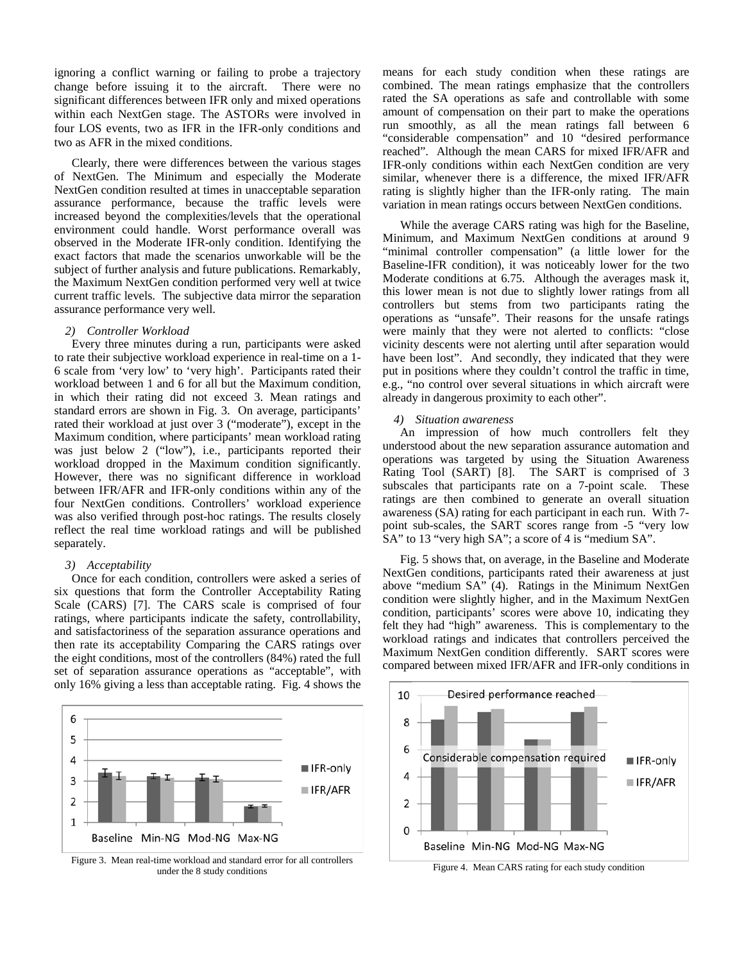ignoring a conflict warning or failing to probe a trajectory change before issuing it to the aircraft. There were no significant differences between IFR only and mixed operations within each NextGen stage. The ASTORs were involved in four LOS events, two as IFR in the IFR-only conditions and two as AFR in the mixed conditions.

Clearly, there were differences between the various stages of NextGen. The Minimum and especially the Moderate NextGen condition resulted at times in unacceptable separation assurance performance, because the traffic levels were increased beyond the complexities/levels that the operational environment could handle. Worst performance overall was observed in the Moderate IFR-only condition. Identifying the exact factors that made the scenarios unworkable will be the subject of further analysis and future publications. Remarkably, the Maximum NextGen condition performed very well at twice current traffic levels. The subjective data mirror the separation assurance performance very well.

## *2) Controller Workload*

Every three minutes during a run, participants were asked to rate their subjective workload experience in real-time on a 1- 6 scale from 'very low' to 'very high'. Participants rated their workload between 1 and 6 for all but the Maximum condition, in which their rating did not exceed 3. Mean ratings and standard errors are shown in Fig. 3. On average, participants' rated their workload at just over 3 ("moderate"), except in the Maximum condition, where participants' mean workload rating was just below 2 ("low"), i.e., participants reported their workload dropped in the Maximum condition significantly. However, there was no significant difference in workload between IFR/AFR and IFR-only conditions within any of the four NextGen conditions. Controllers' workload experience was also verified through post-hoc ratings. The results closely reflect the real time workload ratings and will be published separately.

#### *3) Acceptability*

Once for each condition, controllers were asked a series of six questions that form the Controller Acceptability Rating Scale (CARS) [\[7\].](#page-9-5) The CARS scale is comprised of four ratings, where participants indicate the safety, controllability, and satisfactoriness of the separation assurance operations and then rate its acceptability Comparing the CARS ratings over the eight conditions, most of the controllers (84%) rated the full set of separation assurance operations as "acceptable", with only 16% giving a less than acceptable rating. Fig. 4 shows the



Figure 3. Mean real-time workload and standard error for all controllers Eigure 4. Mean CARS rating for each study condition under the 8 study conditions

means for each study condition when these ratings are combined. The mean ratings emphasize that the controllers rated the SA operations as safe and controllable with some amount of compensation on their part to make the operations run smoothly, as all the mean ratings fall between 6 "considerable compensation" and 10 "desired performance reached". Although the mean CARS for mixed IFR/AFR and IFR-only conditions within each NextGen condition are very similar, whenever there is a difference, the mixed IFR/AFR rating is slightly higher than the IFR-only rating. The main variation in mean ratings occurs between NextGen conditions.

While the average CARS rating was high for the Baseline, Minimum, and Maximum NextGen conditions at around 9 "minimal controller compensation" (a little lower for the Baseline-IFR condition), it was noticeably lower for the two Moderate conditions at 6.75. Although the averages mask it, this lower mean is not due to slightly lower ratings from all controllers but stems from two participants rating the operations as "unsafe". Their reasons for the unsafe ratings were mainly that they were not alerted to conflicts: "close vicinity descents were not alerting until after separation would have been lost". And secondly, they indicated that they were put in positions where they couldn't control the traffic in time, e.g., "no control over several situations in which aircraft were already in dangerous proximity to each other".

## *4) Situation awareness*

An impression of how much controllers felt they understood about the new separation assurance automation and operations was targeted by using the Situation Awareness Rating Tool (SART) [\[8\].](#page-9-6) The SART is comprised of 3 subscales that participants rate on a 7-point scale. These ratings are then combined to generate an overall situation awareness (SA) rating for each participant in each run. With 7 point sub-scales, the SART scores range from -5 "very low SA" to 13 "very high SA"; a score of 4 is "medium SA".

Fig. 5 shows that, on average, in the Baseline and Moderate NextGen conditions, participants rated their awareness at just above "medium SA" (4). Ratings in the Minimum NextGen condition were slightly higher, and in the Maximum NextGen condition, participants' scores were above 10, indicating they felt they had "high" awareness. This is complementary to the workload ratings and indicates that controllers perceived the Maximum NextGen condition differently. SART scores were compared between mixed IFR/AFR and IFR-only conditions in

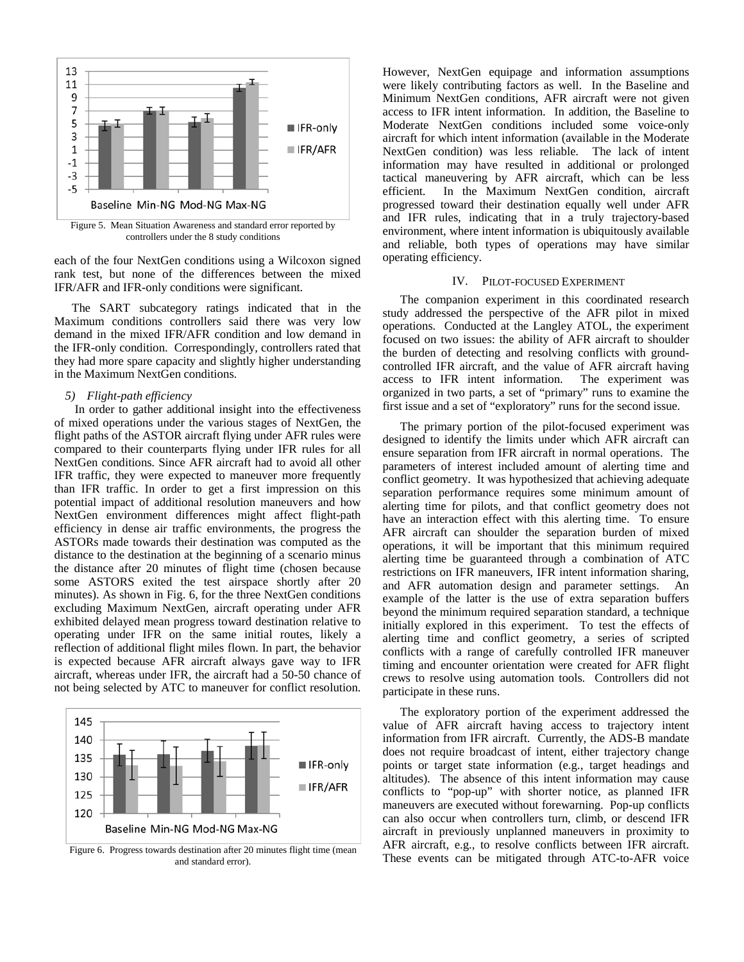

Figure 5. Mean Situation Awareness and standard error reported by controllers under the 8 study conditions

each of the four NextGen conditions using a Wilcoxon signed rank test, but none of the differences between the mixed IFR/AFR and IFR-only conditions were significant.

The SART subcategory ratings indicated that in the Maximum conditions controllers said there was very low demand in the mixed IFR/AFR condition and low demand in the IFR-only condition. Correspondingly, controllers rated that they had more spare capacity and slightly higher understanding in the Maximum NextGen conditions.

# *5) Flight-path efficiency*

In order to gather additional insight into the effectiveness of mixed operations under the various stages of NextGen, the flight paths of the ASTOR aircraft flying under AFR rules were compared to their counterparts flying under IFR rules for all NextGen conditions. Since AFR aircraft had to avoid all other IFR traffic, they were expected to maneuver more frequently than IFR traffic. In order to get a first impression on this potential impact of additional resolution maneuvers and how NextGen environment differences might affect flight-path efficiency in dense air traffic environments, the progress the ASTORs made towards their destination was computed as the distance to the destination at the beginning of a scenario minus the distance after 20 minutes of flight time (chosen because some ASTORS exited the test airspace shortly after 20 minutes). As shown in Fig. 6, for the three NextGen conditions excluding Maximum NextGen, aircraft operating under AFR exhibited delayed mean progress toward destination relative to operating under IFR on the same initial routes, likely a reflection of additional flight miles flown. In part, the behavior is expected because AFR aircraft always gave way to IFR aircraft, whereas under IFR, the aircraft had a 50-50 chance of not being selected by ATC to maneuver for conflict resolution.



Figure 6. Progress towards destination after 20 minutes flight time (mean and standard error).

However, NextGen equipage and information assumptions were likely contributing factors as well. In the Baseline and Minimum NextGen conditions, AFR aircraft were not given access to IFR intent information. In addition, the Baseline to Moderate NextGen conditions included some voice-only aircraft for which intent information (available in the Moderate NextGen condition) was less reliable. The lack of intent information may have resulted in additional or prolonged tactical maneuvering by AFR aircraft, which can be less efficient. In the Maximum NextGen condition, aircraft progressed toward their destination equally well under AFR and IFR rules, indicating that in a truly trajectory-based environment, where intent information is ubiquitously available and reliable, both types of operations may have similar operating efficiency.

#### IV. PILOT-FOCUSED EXPERIMENT

The companion experiment in this coordinated research study addressed the perspective of the AFR pilot in mixed operations. Conducted at the Langley ATOL, the experiment focused on two issues: the ability of AFR aircraft to shoulder the burden of detecting and resolving conflicts with groundcontrolled IFR aircraft, and the value of AFR aircraft having<br>access to IFR intent information. The experiment was access to IFR intent information. organized in two parts, a set of "primary" runs to examine the first issue and a set of "exploratory" runs for the second issue.

The primary portion of the pilot-focused experiment was designed to identify the limits under which AFR aircraft can ensure separation from IFR aircraft in normal operations. The parameters of interest included amount of alerting time and conflict geometry. It was hypothesized that achieving adequate separation performance requires some minimum amount of alerting time for pilots, and that conflict geometry does not have an interaction effect with this alerting time. To ensure AFR aircraft can shoulder the separation burden of mixed operations, it will be important that this minimum required alerting time be guaranteed through a combination of ATC restrictions on IFR maneuvers, IFR intent information sharing, and AFR automation design and parameter settings. An example of the latter is the use of extra separation buffers beyond the minimum required separation standard, a technique initially explored in this experiment. To test the effects of alerting time and conflict geometry, a series of scripted conflicts with a range of carefully controlled IFR maneuver timing and encounter orientation were created for AFR flight crews to resolve using automation tools. Controllers did not participate in these runs.

The exploratory portion of the experiment addressed the value of AFR aircraft having access to trajectory intent information from IFR aircraft. Currently, the ADS-B mandate does not require broadcast of intent, either trajectory change points or target state information (e.g., target headings and altitudes). The absence of this intent information may cause conflicts to "pop-up" with shorter notice, as planned IFR maneuvers are executed without forewarning. Pop-up conflicts can also occur when controllers turn, climb, or descend IFR aircraft in previously unplanned maneuvers in proximity to AFR aircraft, e.g., to resolve conflicts between IFR aircraft. These events can be mitigated through ATC-to-AFR voice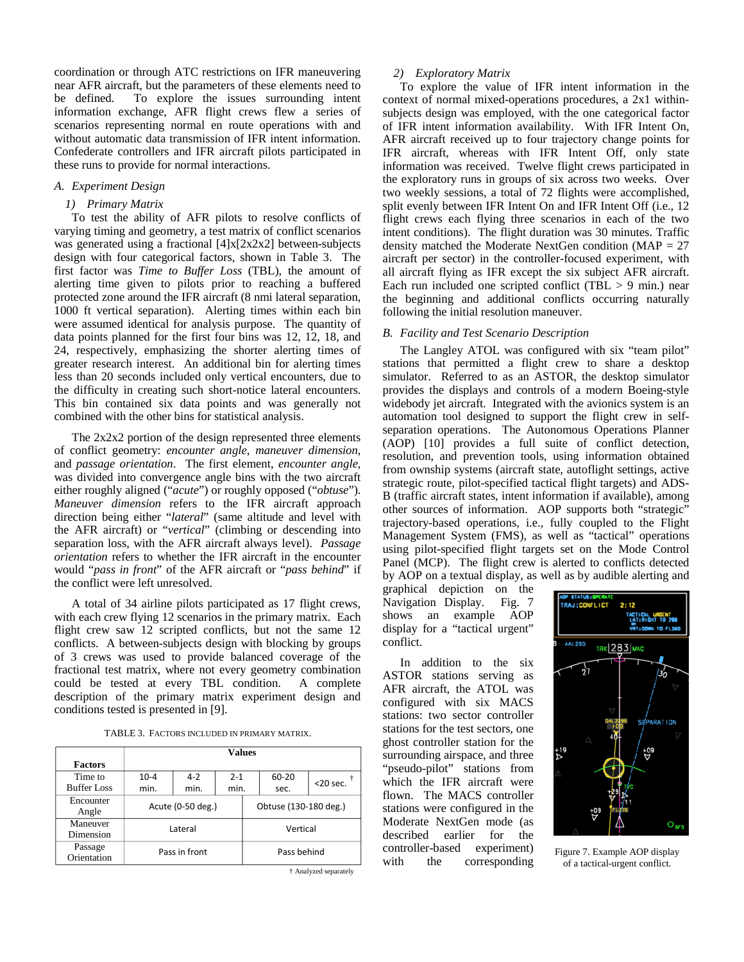coordination or through ATC restrictions on IFR maneuvering near AFR aircraft, but the parameters of these elements need to be defined. To explore the issues surrounding intent information exchange, AFR flight crews flew a series of scenarios representing normal en route operations with and without automatic data transmission of IFR intent information. Confederate controllers and IFR aircraft pilots participated in these runs to provide for normal interactions.

#### *A. Experiment Design*

#### *1) Primary Matrix*

To test the ability of AFR pilots to resolve conflicts of varying timing and geometry, a test matrix of conflict scenarios was generated using a fractional [4]x[2x2x2] between-subjects design with four categorical factors, shown in Table 3. The first factor was *Time to Buffer Loss* (TBL), the amount of alerting time given to pilots prior to reaching a buffered protected zone around the IFR aircraft (8 nmi lateral separation, 1000 ft vertical separation). Alerting times within each bin were assumed identical for analysis purpose. The quantity of data points planned for the first four bins was 12, 12, 18, and 24, respectively, emphasizing the shorter alerting times of greater research interest. An additional bin for alerting times less than 20 seconds included only vertical encounters, due to the difficulty in creating such short-notice lateral encounters. This bin contained six data points and was generally not combined with the other bins for statistical analysis.

The 2x2x2 portion of the design represented three elements of conflict geometry: *encounter angle*, *maneuver dimension*, and *passage orientation*. The first element, *encounter angle*, was divided into convergence angle bins with the two aircraft either roughly aligned ("*acute*") or roughly opposed ("*obtuse*"). *Maneuver dimension* refers to the IFR aircraft approach direction being either "*lateral*" (same altitude and level with the AFR aircraft) or "*vertical*" (climbing or descending into separation loss, with the AFR aircraft always level). *Passage orientation* refers to whether the IFR aircraft in the encounter would "*pass in front*" of the AFR aircraft or "*pass behind*" if the conflict were left unresolved.

A total of 34 airline pilots participated as 17 flight crews, with each crew flying 12 scenarios in the primary matrix. Each flight crew saw 12 scripted conflicts, but not the same 12 conflicts. A between-subjects design with blocking by groups of 3 crews was used to provide balanced coverage of the fractional test matrix, where not every geometry combination could be tested at every TBL condition. A complete description of the primary matrix experiment design and conditions tested is presented in [\[9\].](#page-9-7)

TABLE 3. FACTORS INCLUDED IN PRIMARY MATRIX.

|                    | <b>Values</b>     |         |             |                       |           |             |
|--------------------|-------------------|---------|-------------|-----------------------|-----------|-------------|
| <b>Factors</b>     |                   |         |             |                       |           |             |
| Time to            | $10 - 4$          | $4 - 2$ | $2 - 1$     |                       | $60 - 20$ |             |
| <b>Buffer Loss</b> | min.              | min.    | min.        |                       | sec.      | $<$ 20 sec. |
| Encounter<br>Angle | Acute (0-50 deg.) |         |             | Obtuse (130-180 deg.) |           |             |
| Maneuver           | Lateral           |         | Vertical    |                       |           |             |
| Dimension          |                   |         |             |                       |           |             |
| Passage            | Pass in front     |         | Pass behind |                       |           |             |
| Orientation        |                   |         |             |                       |           |             |

† Analyzed separately

#### *2) Exploratory Matrix*

To explore the value of IFR intent information in the context of normal mixed-operations procedures, a 2x1 withinsubjects design was employed, with the one categorical factor of IFR intent information availability. With IFR Intent On, AFR aircraft received up to four trajectory change points for IFR aircraft, whereas with IFR Intent Off, only state information was received. Twelve flight crews participated in the exploratory runs in groups of six across two weeks. Over two weekly sessions, a total of 72 flights were accomplished, split evenly between IFR Intent On and IFR Intent Off (i.e., 12 flight crews each flying three scenarios in each of the two intent conditions). The flight duration was 30 minutes. Traffic density matched the Moderate NextGen condition (MAP = 27 aircraft per sector) in the controller-focused experiment, with all aircraft flying as IFR except the six subject AFR aircraft. Each run included one scripted conflict (TBL  $> 9$  min.) near the beginning and additional conflicts occurring naturally following the initial resolution maneuver.

## *B. Facility and Test Scenario Description*

The Langley ATOL was configured with six "team pilot" stations that permitted a flight crew to share a desktop simulator. Referred to as an ASTOR, the desktop simulator provides the displays and controls of a modern Boeing-style widebody jet aircraft. Integrated with the avionics system is an automation tool designed to support the flight crew in selfseparation operations. The Autonomous Operations Planner (AOP) [\[10\]](#page-9-8) provides a full suite of conflict detection, resolution, and prevention tools, using information obtained from ownship systems (aircraft state, autoflight settings, active strategic route, pilot-specified tactical flight targets) and ADS-B (traffic aircraft states, intent information if available), among other sources of information. AOP supports both "strategic" trajectory-based operations, i.e., fully coupled to the Flight Management System (FMS), as well as "tactical" operations using pilot-specified flight targets set on the Mode Control Panel (MCP). The flight crew is alerted to conflicts detected by AOP on a textual display, as well as by audible alerting and

graphical depiction on the Navigation Display. Fig. 7 shows an example AOP display for a "tactical urgent" conflict.

In addition to the six ASTOR stations serving as AFR aircraft, the ATOL was configured with six MACS stations: two sector controller stations for the test sectors, one ghost controller station for the surrounding airspace, and three "pseudo-pilot" stations from which the IFR aircraft were flown. The MACS controller stations were configured in the Moderate NextGen mode (as described earlier for the controller-based experiment) with the corresponding Figure 7. Example AOP display of a tactical-urgent conflict.

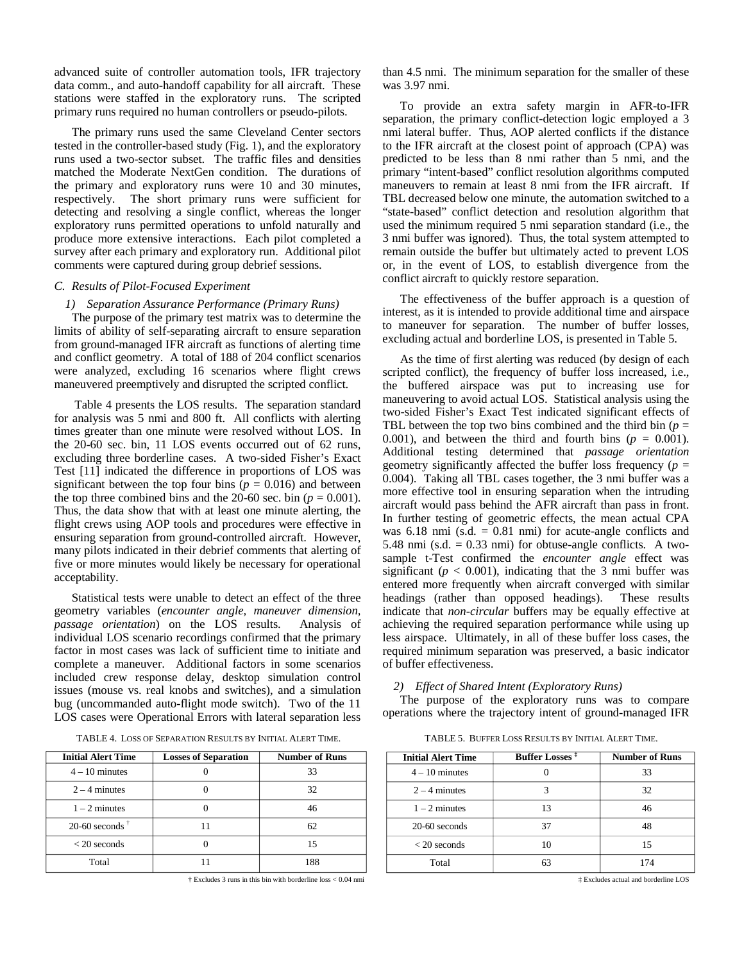advanced suite of controller automation tools, IFR trajectory data comm., and auto-handoff capability for all aircraft. These stations were staffed in the exploratory runs. The scripted primary runs required no human controllers or pseudo-pilots.

The primary runs used the same Cleveland Center sectors tested in the controller-based study (Fig. 1), and the exploratory runs used a two-sector subset. The traffic files and densities matched the Moderate NextGen condition. The durations of the primary and exploratory runs were 10 and 30 minutes, respectively. The short primary runs were sufficient for detecting and resolving a single conflict, whereas the longer exploratory runs permitted operations to unfold naturally and produce more extensive interactions. Each pilot completed a survey after each primary and exploratory run. Additional pilot comments were captured during group debrief sessions.

#### *C. Results of Pilot-Focused Experiment*

#### *1) Separation Assurance Performance (Primary Runs)*

The purpose of the primary test matrix was to determine the limits of ability of self-separating aircraft to ensure separation from ground-managed IFR aircraft as functions of alerting time and conflict geometry. A total of 188 of 204 conflict scenarios were analyzed, excluding 16 scenarios where flight crews maneuvered preemptively and disrupted the scripted conflict.

Table 4 presents the LOS results. The separation standard for analysis was 5 nmi and 800 ft. All conflicts with alerting times greater than one minute were resolved without LOS. In the 20-60 sec. bin, 11 LOS events occurred out of 62 runs, excluding three borderline cases. A two-sided Fisher's Exact Test [\[11\]](#page-9-9) indicated the difference in proportions of LOS was significant between the top four bins ( $p = 0.016$ ) and between the top three combined bins and the 20-60 sec. bin ( $p = 0.001$ ). Thus, the data show that with at least one minute alerting, the flight crews using AOP tools and procedures were effective in ensuring separation from ground-controlled aircraft. However, many pilots indicated in their debrief comments that alerting of five or more minutes would likely be necessary for operational acceptability.

Statistical tests were unable to detect an effect of the three geometry variables (*encounter angle, maneuver dimension, passage orientation*) on the LOS results. Analysis of individual LOS scenario recordings confirmed that the primary factor in most cases was lack of sufficient time to initiate and complete a maneuver. Additional factors in some scenarios included crew response delay, desktop simulation control issues (mouse vs. real knobs and switches), and a simulation bug (uncommanded auto-flight mode switch). Two of the 11 LOS cases were Operational Errors with lateral separation less

TABLE 4. LOSS OF SEPARATION RESULTS BY INITIAL ALERT TIME.

| <b>Initial Alert Time</b> | <b>Losses of Separation</b> | <b>Number of Runs</b> |  |
|---------------------------|-----------------------------|-----------------------|--|
| $4 - 10$ minutes          |                             | 33                    |  |
| $2 - 4$ minutes           |                             | 32                    |  |
| $1 - 2$ minutes           |                             | 46                    |  |
| 20-60 seconds $\dagger$   | 11                          | 62                    |  |
| $< 20$ seconds            |                             | 15                    |  |
| Total                     | 11                          | 188                   |  |

<sup>†</sup> Excludes 3 runs in this bin with borderline loss < 0.04 nmi

than 4.5 nmi. The minimum separation for the smaller of these was 3.97 nmi.

To provide an extra safety margin in AFR-to-IFR separation, the primary conflict-detection logic employed a 3 nmi lateral buffer. Thus, AOP alerted conflicts if the distance to the IFR aircraft at the closest point of approach (CPA) was predicted to be less than 8 nmi rather than 5 nmi, and the primary "intent-based" conflict resolution algorithms computed maneuvers to remain at least 8 nmi from the IFR aircraft. If TBL decreased below one minute, the automation switched to a "state-based" conflict detection and resolution algorithm that used the minimum required 5 nmi separation standard (i.e., the 3 nmi buffer was ignored). Thus, the total system attempted to remain outside the buffer but ultimately acted to prevent LOS or, in the event of LOS, to establish divergence from the conflict aircraft to quickly restore separation.

The effectiveness of the buffer approach is a question of interest, as it is intended to provide additional time and airspace to maneuver for separation. The number of buffer losses, excluding actual and borderline LOS, is presented in Table 5.

As the time of first alerting was reduced (by design of each scripted conflict), the frequency of buffer loss increased, i.e., the buffered airspace was put to increasing use for maneuvering to avoid actual LOS. Statistical analysis using the two-sided Fisher's Exact Test indicated significant effects of TBL between the top two bins combined and the third bin  $(p =$ 0.001), and between the third and fourth bins  $(p = 0.001)$ . Additional testing determined that *passage orientation* geometry significantly affected the buffer loss frequency ( $p =$ 0.004). Taking all TBL cases together, the 3 nmi buffer was a more effective tool in ensuring separation when the intruding aircraft would pass behind the AFR aircraft than pass in front. In further testing of geometric effects, the mean actual CPA was  $6.18$  nmi (s.d.  $= 0.81$  nmi) for acute-angle conflicts and 5.48 nmi (s.d.  $= 0.33$  nmi) for obtuse-angle conflicts. A twosample t-Test confirmed the *encounter angle* effect was significant ( $p < 0.001$ ), indicating that the 3 nmi buffer was entered more frequently when aircraft converged with similar headings (rather than opposed headings). These results indicate that *non-circular* buffers may be equally effective at achieving the required separation performance while using up less airspace. Ultimately, in all of these buffer loss cases, the required minimum separation was preserved, a basic indicator of buffer effectiveness.

#### *2) Effect of Shared Intent (Exploratory Runs)*

The purpose of the exploratory runs was to compare operations where the trajectory intent of ground-managed IFR

TABLE 5. BUFFER LOSS RESULTS BY INITIAL ALERT TIME.

| <b>Initial Alert Time</b> | <b>Buffer Losses</b> <sup>#</sup> | <b>Number of Runs</b> |  |
|---------------------------|-----------------------------------|-----------------------|--|
| $4 - 10$ minutes          |                                   | 33                    |  |
| $2 - 4$ minutes           | 3                                 | 32                    |  |
| $1 - 2$ minutes           | 13                                | 46                    |  |
| $20-60$ seconds           | 37                                | 48                    |  |
| $< 20$ seconds            | 10                                | 15                    |  |
| Total                     | 63                                | 174                   |  |

‡ Excludes actual and borderline LOS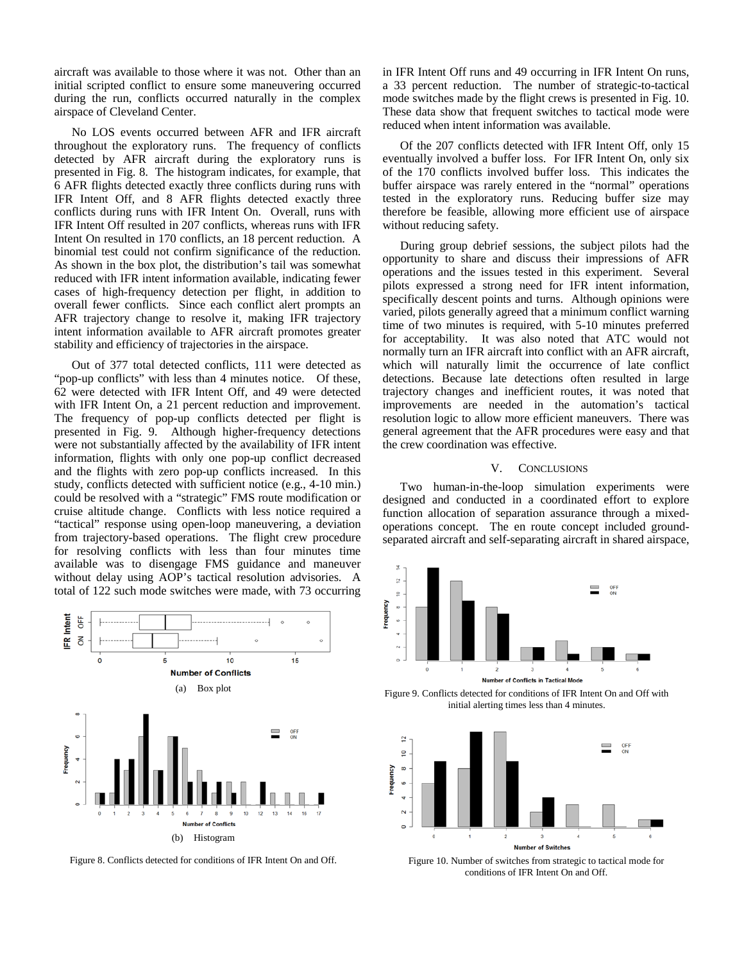aircraft was available to those where it was not. Other than an initial scripted conflict to ensure some maneuvering occurred during the run, conflicts occurred naturally in the complex airspace of Cleveland Center.

No LOS events occurred between AFR and IFR aircraft throughout the exploratory runs. The frequency of conflicts detected by AFR aircraft during the exploratory runs is presented in Fig. 8. The histogram indicates, for example, that 6 AFR flights detected exactly three conflicts during runs with IFR Intent Off, and 8 AFR flights detected exactly three conflicts during runs with IFR Intent On. Overall, runs with IFR Intent Off resulted in 207 conflicts, whereas runs with IFR Intent On resulted in 170 conflicts, an 18 percent reduction. A binomial test could not confirm significance of the reduction. As shown in the box plot, the distribution's tail was somewhat reduced with IFR intent information available, indicating fewer cases of high-frequency detection per flight, in addition to overall fewer conflicts. Since each conflict alert prompts an AFR trajectory change to resolve it, making IFR trajectory intent information available to AFR aircraft promotes greater stability and efficiency of trajectories in the airspace.

Out of 377 total detected conflicts, 111 were detected as "pop-up conflicts" with less than 4 minutes notice. Of these, 62 were detected with IFR Intent Off, and 49 were detected with IFR Intent On, a 21 percent reduction and improvement. The frequency of pop-up conflicts detected per flight is presented in Fig. 9. Although higher-frequency detections were not substantially affected by the availability of IFR intent information, flights with only one pop-up conflict decreased and the flights with zero pop-up conflicts increased. In this study, conflicts detected with sufficient notice (e.g., 4-10 min.) could be resolved with a "strategic" FMS route modification or cruise altitude change. Conflicts with less notice required a "tactical" response using open-loop maneuvering, a deviation from trajectory-based operations. The flight crew procedure for resolving conflicts with less than four minutes time available was to disengage FMS guidance and maneuver without delay using AOP's tactical resolution advisories. A total of 122 such mode switches were made, with 73 occurring



Figure 8. Conflicts detected for conditions of IFR Intent On and Off.

in IFR Intent Off runs and 49 occurring in IFR Intent On runs, a 33 percent reduction. The number of strategic-to-tactical mode switches made by the flight crews is presented in Fig. 10. These data show that frequent switches to tactical mode were reduced when intent information was available.

Of the 207 conflicts detected with IFR Intent Off, only 15 eventually involved a buffer loss. For IFR Intent On, only six of the 170 conflicts involved buffer loss. This indicates the buffer airspace was rarely entered in the "normal" operations tested in the exploratory runs. Reducing buffer size may therefore be feasible, allowing more efficient use of airspace without reducing safety.

During group debrief sessions, the subject pilots had the opportunity to share and discuss their impressions of AFR operations and the issues tested in this experiment. Several pilots expressed a strong need for IFR intent information, specifically descent points and turns. Although opinions were varied, pilots generally agreed that a minimum conflict warning time of two minutes is required, with 5-10 minutes preferred for acceptability. It was also noted that ATC would not normally turn an IFR aircraft into conflict with an AFR aircraft, which will naturally limit the occurrence of late conflict detections. Because late detections often resulted in large trajectory changes and inefficient routes, it was noted that improvements are needed in the automation's tactical resolution logic to allow more efficient maneuvers. There was general agreement that the AFR procedures were easy and that the crew coordination was effective.

## V. CONCLUSIONS

Two human-in-the-loop simulation experiments were designed and conducted in a coordinated effort to explore function allocation of separation assurance through a mixedoperations concept. The en route concept included groundseparated aircraft and self-separating aircraft in shared airspace,



Figure 9. Conflicts detected for conditions of IFR Intent On and Off with initial alerting times less than 4 minutes.



Figure 10. Number of switches from strategic to tactical mode for conditions of IFR Intent On and Off.